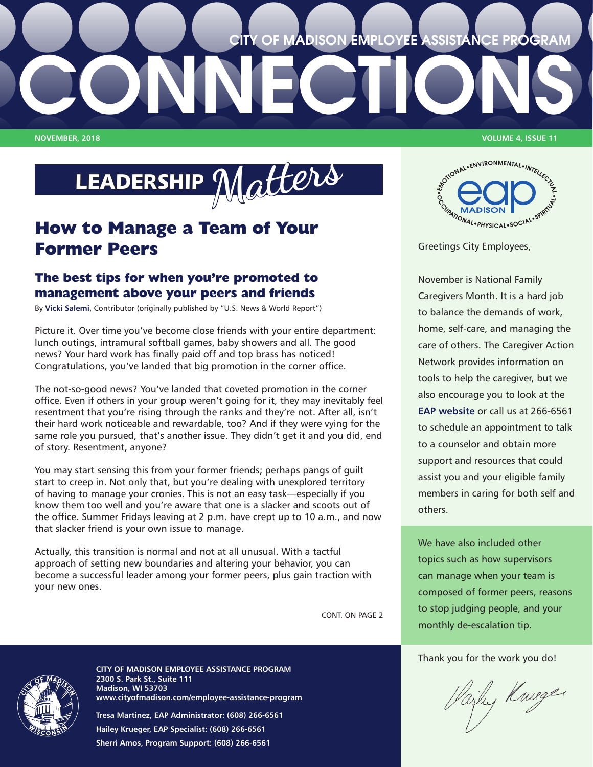## **CITY OF MADISON EMPLOYEE ASSISTANCE PROGRAM**

LEADERSHIP **Matters**

**CONNECTIONS**

## **How to Manage a Team of Your Former Peers**

## **The best tips for when you're promoted to management above your peers and friends**

By **[Vicki Salemi](https://www.usnews.com/topics/author/vicki-salemi)**, Contributor (originally published by "U.S. News & World Report")

Picture it. Over time you've become close friends with your entire department: lunch outings, intramural softball games, baby showers and all. The good news? Your hard work has finally paid off and top brass has noticed! Congratulations, you've landed that big promotion in the corner office.

The not-so-good news? You've landed that coveted promotion in the corner office. Even if others in your group weren't going for it, they may inevitably feel resentment that you're rising through the ranks and they're not. After all, isn't their hard work noticeable and rewardable, too? And if they were vying for the same role you pursued, that's another issue. They didn't get it and you did, end of story. Resentment, anyone?

You may start sensing this from your former friends; perhaps pangs of guilt start to creep in. Not only that, but you're dealing with unexplored territory of having to manage your cronies. This is not an easy task—especially if you know them too well and you're aware that one is a slacker and scoots out of the office. Summer Fridays leaving at 2 p.m. have crept up to 10 a.m., and now that slacker friend is your own issue to manage.

Actually, this transition is normal and not at all unusual. With a tactful approach of setting new boundaries and altering your behavior, you can become a successful leader among your former peers, plus gain traction with your new ones.

CONT. ON PAGE 2

**NOVEMBER, 2018 VOLUME 4, ISSUE 11**



Greetings City Employees,

November is National Family Caregivers Month. It is a hard job to balance the demands of work, home, self-care, and managing the care of others. The Caregiver Action Network provides information on tools to help the caregiver, but we also encourage you to look at the **[EAP website](http://www.cityofmadison.com/employee-assistance-program/resources#Caregivers)** or call us at 266-6561 to schedule an appointment to talk to a counselor and obtain more support and resources that could assist you and your eligible family members in caring for both self and others.

We have also included other topics such as how supervisors can manage when your team is composed of former peers, reasons to stop judging people, and your monthly de-escalation tip.

Thank you for the work you do!

Hailey Kniger



**CITY OF MADISON EMPLOYEE ASSISTANCE PROGRAM 2300 S. Park St., Suite 111 Madison, WI 53703 [www.cityofmadison.com/employee-assistance-program](http://www.cityofmadison.com/employee-assistance-program)**

**Tresa Martinez, EAP Administrator: (608) 266-6561 Hailey Krueger, EAP Specialist: (608) 266-6561 Sherri Amos, Program Support: (608) 266-6561**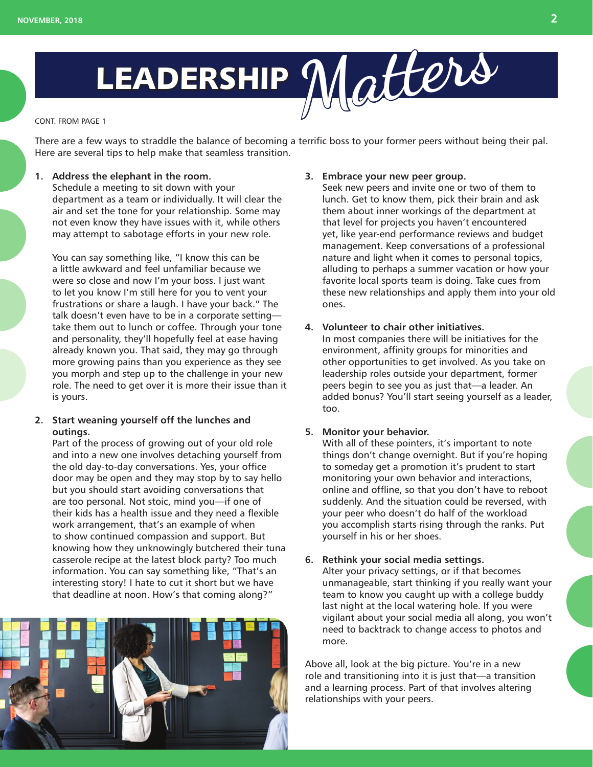

#### CONT. FROM PAGE 1

There are a few ways to straddle the balance of becoming a terrific boss to your former peers without being their pal. Here are several tips to help make that seamless transition.

## **1. Address the elephant in the room.**

Schedule a meeting to sit down with your department as a team or individually. It will clear the air and set the tone for your relationship. Some may not even know they have issues with it, while others may attempt to sabotage efforts in your new role.

You can say something like, "I know this can be a little awkward and feel unfamiliar because we were so close and now I'm your boss. I just want to let you know I'm still here for you to vent your frustrations or share a laugh. I have your back." The talk doesn't even have to be in a corporate setting take them out to lunch or coffee. Through your tone and personality, they'll hopefully feel at ease having already known you. That said, they may go through more growing pains than you experience as they see you morph and step up to the challenge in your new role. The need to get over it is more their issue than it is yours.

## **2. Start weaning yourself off the lunches and outings.**

Part of the process of growing out of your old role and into a new one involves detaching yourself from the old day-to-day conversations. Yes, your office door may be open and they may stop by to say hello but you should start avoiding conversations that are too personal. Not stoic, mind you—if one of their kids has a health issue and they need a flexible work arrangement, that's an example of when to show continued compassion and support. But knowing how they unknowingly butchered their tuna casserole recipe at the latest block party? Too much information. You can say something like, "That's an interesting story! I hate to cut it short but we have that deadline at noon. How's that coming along?"



## **3. Embrace your new peer group.**

Seek new peers and invite one or two of them to lunch. Get to know them, pick their brain and ask them about inner workings of the department at that level for projects you haven't encountered yet, like year-end performance reviews and budget management. Keep conversations of a professional nature and light when it comes to personal topics, alluding to perhaps a summer vacation or how your favorite local sports team is doing. Take cues from these new relationships and apply them into your old ones.

### **4. Volunteer to chair other initiatives.**

In most companies there will be initiatives for the environment, affinity groups for minorities and other opportunities to get involved. As you take on leadership roles outside your department, former peers begin to see you as just that—a leader. An added bonus? You'll start seeing yourself as a leader, too.

#### **5. Monitor your behavior.**

With all of these pointers, it's important to note things don't change overnight. But if you're hoping to someday get a promotion it's prudent to start monitoring your own behavior and interactions, online and offline, so that you don't have to reboot suddenly. And the situation could be reversed, with your peer who doesn't do half of the workload you accomplish starts rising through the ranks. Put yourself in his or her shoes.

## **6. Rethink your social media settings.**

Alter your privacy settings, or if that becomes unmanageable, start thinking if you really want your team to know you caught up with a college buddy last night at the local watering hole. If you were vigilant about your social media all along, you won't need to backtrack to change access to photos and more.

Above all, look at the big picture. You're in a new role and transitioning into it is just that—a transition and a learning process. Part of that involves altering relationships with your peers.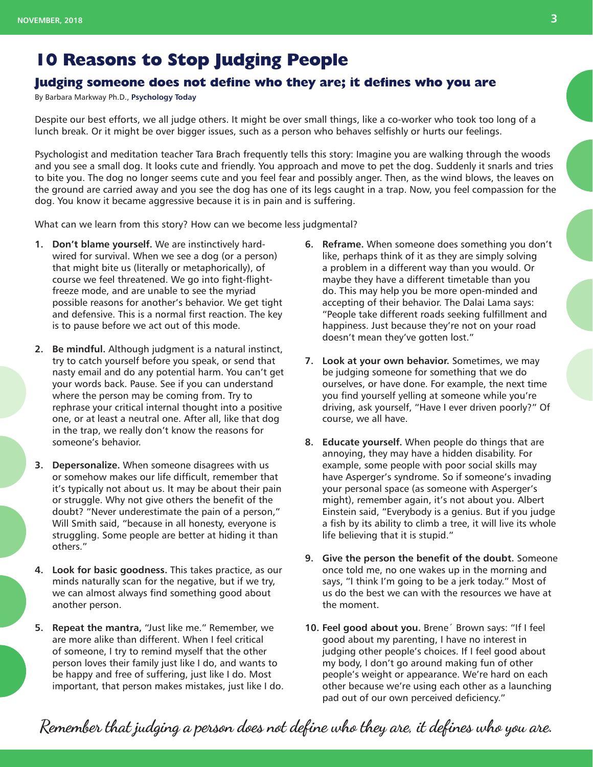## **10 Reasons to Stop Judging People**

## **Judging someone does not define who they are; it defines who you are**

By Barbara Markway Ph.D., **[Psychology Today](https://www.psychologytoday.com/us/blog/living-the-questions/201410/10-reasons-stop-judging-people)**

Despite our best efforts, we all judge others. It might be over small things, like a co-worker who took too long of a lunch break. Or it might be over bigger issues, such as a person who behaves selfishly or hurts our feelings.

Psychologist and meditation teacher Tara Brach frequently tells this story: Imagine you are walking through the woods and you see a small dog. It looks cute and friendly. You approach and move to pet the dog. Suddenly it snarls and tries to bite you. The dog no longer seems cute and you feel fear and possibly anger. Then, as the wind blows, the leaves on the ground are carried away and you see the dog has one of its legs caught in a trap. Now, you feel compassion for the dog. You know it became aggressive because it is in pain and is suffering.

What can we learn from this story? How can we become less judgmental?

- **1. Don't blame yourself.** We are instinctively hardwired for survival. When we see a dog (or a person) that might bite us (literally or metaphorically), of course we feel threatened. We go into fight-flightfreeze mode, and are unable to see the myriad possible reasons for another's behavior. We get tight and defensive. This is a normal first reaction. The key is to pause before we act out of this mode.
- **2. Be mindful.** Although judgment is a natural instinct, try to catch yourself before you speak, or send that nasty email and do any potential harm. You can't get your words back. Pause. See if you can understand where the person may be coming from. Try to rephrase your critical internal thought into a positive one, or at least a neutral one. After all, like that dog in the trap, we really don't know the reasons for someone's behavior.
- **3. Depersonalize.** When someone disagrees with us or somehow makes our life difficult, remember that it's typically not about us. It may be about their pain or struggle. Why not give others the benefit of the doubt? "Never underestimate the pain of a person," Will Smith said, "because in all honesty, everyone is struggling. Some people are better at hiding it than others."
- **4. Look for basic goodness.** This takes practice, as our minds naturally scan for the negative, but if we try, we can almost always find something good about another person.
- **5. Repeat the mantra,** "Just like me." Remember, we are more alike than different. When I feel critical of someone, I try to remind myself that the other person loves their family just like I do, and wants to be happy and free of suffering, just like I do. Most important, that person makes mistakes, just like I do.
- **6. Reframe.** When someone does something you don't like, perhaps think of it as they are simply solving a problem in a different way than you would. Or maybe they have a different timetable than you do. This may help you be more open-minded and accepting of their behavior. The Dalai Lama says: "People take different roads seeking fulfillment and happiness. Just because they're not on your road doesn't mean they've gotten lost."
- **7. Look at your own behavior.** Sometimes, we may be judging someone for something that we do ourselves, or have done. For example, the next time you find yourself yelling at someone while you're driving, ask yourself, "Have I ever driven poorly?" Of course, we all have.
- **8. Educate yourself.** When people do things that are annoying, they may have a hidden disability. For example, some people with poor social skills may have Asperger's syndrome. So if someone's invading your personal space (as someone with Asperger's might), remember again, it's not about you. Albert Einstein said, "Everybody is a genius. But if you judge a fish by its ability to climb a tree, it will live its whole life believing that it is stupid."
- **9. Give the person the benefit of the doubt.** Someone once told me, no one wakes up in the morning and says, "I think I'm going to be a jerk today." Most of us do the best we can with the resources we have at the moment.
- **10. Feel good about you.** Brene´ Brown says: "If I feel good about my parenting, I have no interest in judging other people's choices. If I feel good about my body, I don't go around making fun of other people's weight or appearance. We're hard on each other because we're using each other as a launching pad out of our own perceived deficiency."

**Remember that judging a person does not define who they are, it defines who you are.**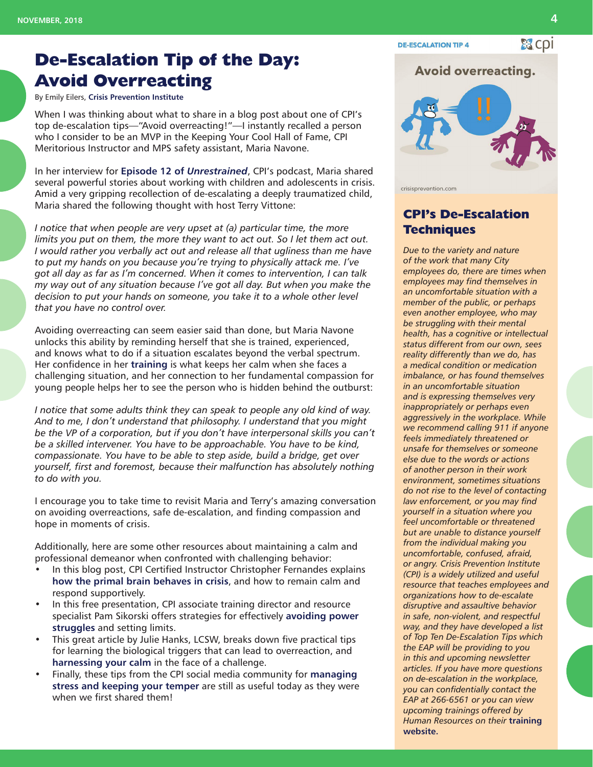## **De-Escalation Tip of the Day: Avoid Overreacting**

By Emily Eilers, **[Crisis Prevention Institute](https://www.crisisprevention.com/)**

When I was thinking about what to share in a blog post about one of CPI's top de-escalation tips—"Avoid overreacting!"—I instantly recalled a person who I consider to be an MVP in the Keeping Your Cool Hall of Fame, CPI Meritorious Instructor and MPS safety assistant, Maria Navone.

In her interview for **[Episode 12 of](https://www.crisisprevention.com/Blog/January-2015/Unrestrained-Episode-12-Guest-Maria-Navone)** *Unrestrained*, CPI's podcast, Maria shared several powerful stories about working with children and adolescents in crisis. Amid a very gripping recollection of de-escalating a deeply traumatized child, Maria shared the following thought with host Terry Vittone:

*I notice that when people are very upset at (a) particular time, the more limits you put on them, the more they want to act out. So I let them act out. I would rather you verbally act out and release all that ugliness than me have to put my hands on you because you're trying to physically attack me. I've got all day as far as I'm concerned. When it comes to intervention, I can talk my way out of any situation because I've got all day. But when you make the decision to put your hands on someone, you take it to a whole other level that you have no control over.*

Avoiding overreacting can seem easier said than done, but Maria Navone unlocks this ability by reminding herself that she is trained, experienced, and knows what to do if a situation escalates beyond the verbal spectrum. Her confidence in her **[training](https://www.crisisprevention.com/Specialties/Nonviolent-Crisis-Intervention)** is what keeps her calm when she faces a challenging situation, and her connection to her fundamental compassion for young people helps her to see the person who is hidden behind the outburst:

*I notice that some adults think they can speak to people any old kind of way. And to me, I don't understand that philosophy. I understand that you might be the VP of a corporation, but if you don't have interpersonal skills you can't be a skilled intervener. You have to be approachable. You have to be kind, compassionate. You have to be able to step aside, build a bridge, get over yourself, first and foremost, because their malfunction has absolutely nothing to do with you.*

I encourage you to take time to revisit Maria and Terry's amazing conversation on avoiding overreactions, safe de-escalation, and finding compassion and hope in moments of crisis.

Additionally, here are some other resources about maintaining a calm and professional demeanor when confronted with challenging behavior:

- In this blog post, CPI Certified Instructor Christopher Fernandes explains **[how the primal brain behaves in crisis](https://www.crisisprevention.com/Blog/January-2017/primal-brain)**, and how to remain calm and respond supportively.
- In this free presentation, CPI associate training director and resource specialist Pam Sikorski offers strategies for effectively **[avoiding power](https://www.crisisprevention.com/Blog/April-2016/How-to-Avoid-Power-Struggles)  [struggles](https://www.crisisprevention.com/Blog/April-2016/How-to-Avoid-Power-Struggles)** and setting limits.
- This great article by Julie Hanks, LCSW, breaks down five practical tips for learning the biological triggers that can lead to overreaction, and **[harnessing your calm](https://psychcentral.com/blog/archives/2013/03/04/how-to-stop-overreacting/)** in the face of a challenge.
- Finally, these tips from the CPI social media community for **[managing](https://www.crisisprevention.com/Blog/April-2014/How-to-Manage-Stress-and-Keep-Your-Temper)  [stress and keeping your temper](https://www.crisisprevention.com/Blog/April-2014/How-to-Manage-Stress-and-Keep-Your-Temper)** are still as useful today as they were when we first shared them!

## **Avoid overreacting.**



crisisprevention.com

**DE-ESCALATION TIP 4** 

## **CPI's De-Escalation Techniques**

*Due to the variety and nature of the work that many City employees do, there are times when employees may find themselves in an uncomfortable situation with a member of the public, or perhaps even another employee, who may be struggling with their mental health, has a cognitive or intellectual status different from our own, sees reality differently than we do, has a medical condition or medication imbalance, or has found themselves in an uncomfortable situation and is expressing themselves very inappropriately or perhaps even aggressively in the workplace. While we recommend calling 911 if anyone feels immediately threatened or unsafe for themselves or someone else due to the words or actions of another person in their work environment, sometimes situations do not rise to the level of contacting law enforcement, or you may find yourself in a situation where you feel uncomfortable or threatened but are unable to distance yourself from the individual making you uncomfortable, confused, afraid, or angry. Crisis Prevention Institute (CPI) is a widely utilized and useful resource that teaches employees and organizations how to de-escalate disruptive and assaultive behavior in safe, non-violent, and respectful way, and they have developed a list of Top Ten De-Escalation Tips which the EAP will be providing to you in this and upcoming newsletter articles. If you have more questions on de-escalation in the workplace, you can confidentially contact the EAP at 266-6561 or you can view upcoming trainings offered by Human Resources on their* **[training](http://www.cityofmadison.com/human-resources/professional-development/courses)  [website.](http://www.cityofmadison.com/human-resources/professional-development/courses)**

器 Cpi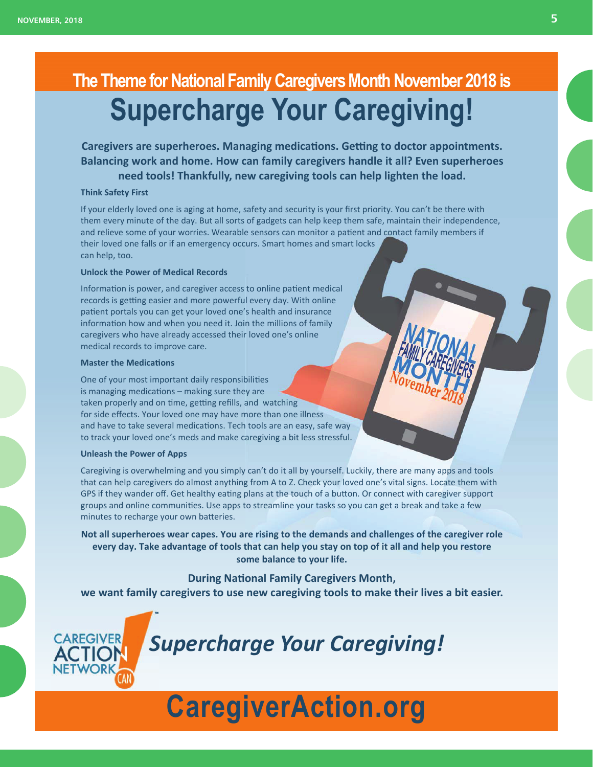# **The Theme for National Family Caregivers Month November 2018 is Supercharge Your Caregiving!**

**Caregivers are superheroes. Managing medications. Getting to doctor appointments. Balancing work and home. How can family caregivers handle it all? Even superheroes need tools! Thankfully, new caregiving tools can help lighten the load.** 

## **Think Safety First**

If your elderly loved one is aging at home, safety and security is your first priority. You can't be there with them every minute of the day. But all sorts of gadgets can help keep them safe, maintain their independence, and relieve some of your worries. Wearable sensors can monitor a patient and contact family members if their loved one falls or if an emergency occurs. Smart homes and smart locks can help, too.

### **Unlock the Power of Medical Records**

Information is power, and caregiver access to online patient medical records is getting easier and more powerful every day. With online patient portals you can get your loved one's health and insurance information how and when you need it. Join the millions of family caregivers who have already accessed their loved one's online medical records to improve care.

#### **Master the Medications**

One of your most important daily responsibilities is managing medications  $-$  making sure they are taken properly and on time, getting refills, and watching for side effects. Your loved one may have more than one illness and have to take several medications. Tech tools are an easy, safe way to track your loved one's meds and make caregiving a bit less stressful.

#### **Unleash the Power of Apps**

**CAREGIVER** 

Caregiving is overwhelming and you simply can't do it all by yourself. Luckily, there are many apps and tools that can help caregivers do almost anything from A to Z. Check your loved one's vital signs. Locate them with GPS if they wander off. Get healthy eating plans at the touch of a button. Or connect with caregiver support groups and online communities. Use apps to streamline your tasks so you can get a break and take a few minutes to recharge your own batteries.

**Not all superheroes wear capes. You are rising to the demands and challenges of the caregiver role every day. Take advantage of tools that can help you stay on top of it all and help you restore some balance to your life.**

**During NaƟonal Family Caregivers Month, we want family caregivers to use new caregiving tools to make their lives a bit easier.** 

*Supercharge Your Caregiving!*

# **[CaregiverAction.org](https://caregiveraction.org/)**